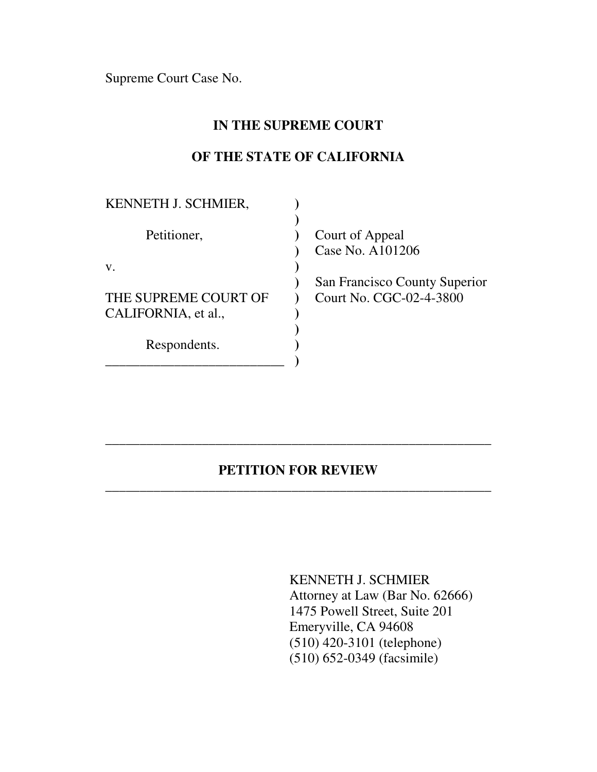Supreme Court Case No.

## **IN THE SUPREME COURT**

## **OF THE STATE OF CALIFORNIA**

| KENNETH J. SCHMIER,  |                                     |
|----------------------|-------------------------------------|
| Petitioner,          | Court of Appeal<br>Case No. A101206 |
| V.                   |                                     |
|                      | San Francisco County Superior       |
| THE SUPREME COURT OF | Court No. CGC-02-4-3800             |
| CALIFORNIA, et al.,  |                                     |
| Respondents.         |                                     |

## **PETITION FOR REVIEW** \_\_\_\_\_\_\_\_\_\_\_\_\_\_\_\_\_\_\_\_\_\_\_\_\_\_\_\_\_\_\_\_\_\_\_\_\_\_\_\_\_\_\_\_\_\_\_\_\_\_\_\_\_\_\_\_

\_\_\_\_\_\_\_\_\_\_\_\_\_\_\_\_\_\_\_\_\_\_\_\_\_\_\_\_\_\_\_\_\_\_\_\_\_\_\_\_\_\_\_\_\_\_\_\_\_\_\_\_\_\_\_\_

KENNETH J. SCHMIER Attorney at Law (Bar No. 62666) 1475 Powell Street, Suite 201 Emeryville, CA 94608 (510) 420-3101 (telephone) (510) 652-0349 (facsimile)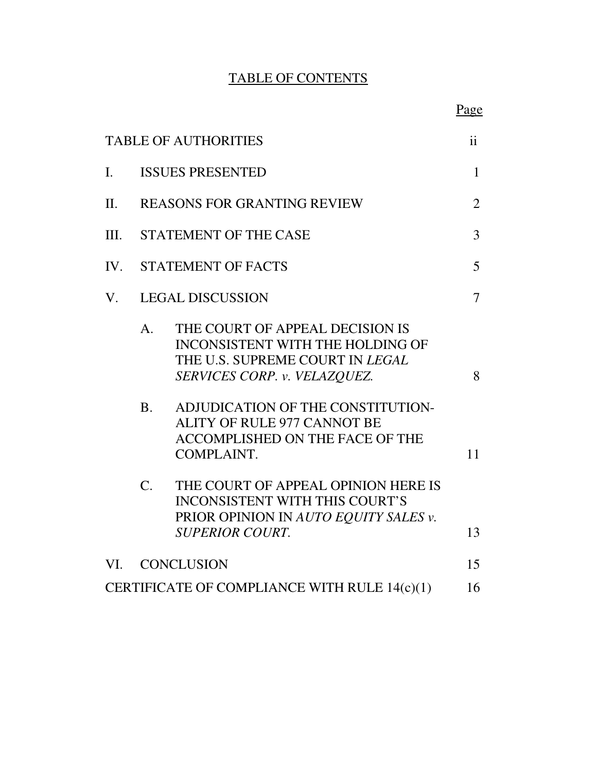# TABLE OF CONTENTS

|                |                                                                                                                                                                                                                                                                                                                          | Page                |
|----------------|--------------------------------------------------------------------------------------------------------------------------------------------------------------------------------------------------------------------------------------------------------------------------------------------------------------------------|---------------------|
|                | <b>TABLE OF AUTHORITIES</b>                                                                                                                                                                                                                                                                                              | $\ddot{\mathbf{i}}$ |
| $\mathbf{I}$ . | <b>ISSUES PRESENTED</b>                                                                                                                                                                                                                                                                                                  | $\mathbf{1}$        |
| II.            | <b>REASONS FOR GRANTING REVIEW</b>                                                                                                                                                                                                                                                                                       | $\overline{2}$      |
| Ш.             | STATEMENT OF THE CASE                                                                                                                                                                                                                                                                                                    | 3                   |
| IV.            | <b>STATEMENT OF FACTS</b>                                                                                                                                                                                                                                                                                                | 5                   |
| V.             | <b>LEGAL DISCUSSION</b>                                                                                                                                                                                                                                                                                                  | $\overline{7}$      |
|                | THE COURT OF APPEAL DECISION IS<br>$A_{\cdot}$<br><b>INCONSISTENT WITH THE HOLDING OF</b><br>THE U.S. SUPREME COURT IN LEGAL<br>SERVICES CORP. v. VELAZQUEZ.<br>B <sub>1</sub><br>ADJUDICATION OF THE CONSTITUTION-<br><b>ALITY OF RULE 977 CANNOT BE</b><br><b>ACCOMPLISHED ON THE FACE OF THE</b><br><b>COMPLAINT.</b> | 8<br>11             |
|                | $C_{\cdot}$<br>THE COURT OF APPEAL OPINION HERE IS<br><b>INCONSISTENT WITH THIS COURT'S</b><br>PRIOR OPINION IN AUTO EQUITY SALES v.<br><b>SUPERIOR COURT.</b>                                                                                                                                                           | 13                  |
| VI.            | <b>CONCLUSION</b>                                                                                                                                                                                                                                                                                                        | 15                  |
|                | CERTIFICATE OF COMPLIANCE WITH RULE 14(c)(1)                                                                                                                                                                                                                                                                             | 16                  |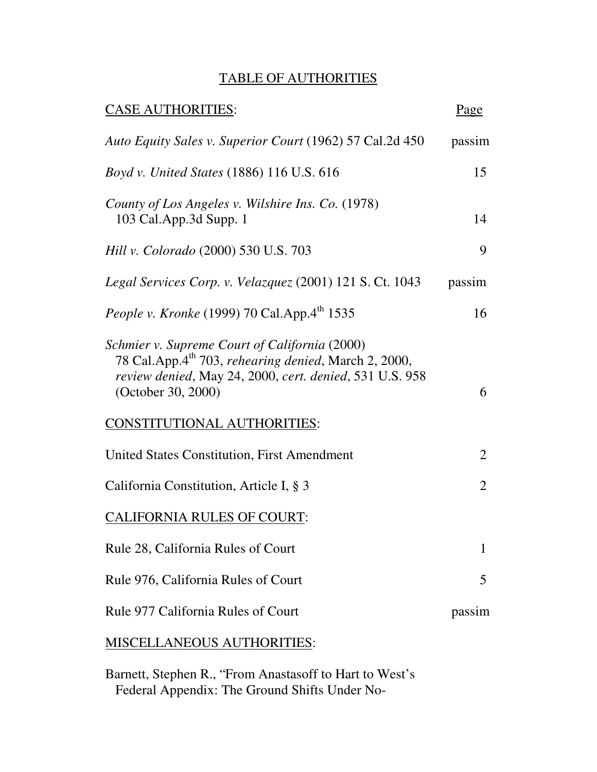## TABLE OF AUTHORITIES

| <b>CASE AUTHORITIES:</b>                                                                                                                                                                           | Page   |
|----------------------------------------------------------------------------------------------------------------------------------------------------------------------------------------------------|--------|
| Auto Equity Sales v. Superior Court (1962) 57 Cal.2d 450                                                                                                                                           | passim |
| <i>Boyd v. United States</i> (1886) 116 U.S. 616                                                                                                                                                   | 15     |
| County of Los Angeles v. Wilshire Ins. Co. (1978)<br>103 Cal.App.3d Supp. 1                                                                                                                        | 14     |
| Hill v. Colorado (2000) 530 U.S. 703                                                                                                                                                               | 9      |
| Legal Services Corp. v. Velazquez (2001) 121 S. Ct. 1043                                                                                                                                           | passim |
| <i>People v. Kronke</i> (1999) 70 Cal.App.4 <sup>th</sup> 1535                                                                                                                                     | 16     |
| Schmier v. Supreme Court of California (2000)<br>78 Cal.App.4 <sup>th</sup> 703, rehearing denied, March 2, 2000,<br>review denied, May 24, 2000, cert. denied, 531 U.S. 958<br>(October 30, 2000) | 6      |
| <b>CONSTITUTIONAL AUTHORITIES:</b>                                                                                                                                                                 |        |
| United States Constitution, First Amendment                                                                                                                                                        | 2      |
| California Constitution, Article I, § 3                                                                                                                                                            | 2      |
| <b>CALIFORNIA RULES OF COURT:</b>                                                                                                                                                                  |        |
| Rule 28, California Rules of Court                                                                                                                                                                 | 1      |
| Rule 976, California Rules of Court                                                                                                                                                                | 5      |
| Rule 977 California Rules of Court                                                                                                                                                                 | passim |
| <b>MISCELLANEOUS AUTHORITIES:</b>                                                                                                                                                                  |        |

Barnett, Stephen R., "From Anastasoff to Hart to West's Federal Appendix: The Ground Shifts Under No-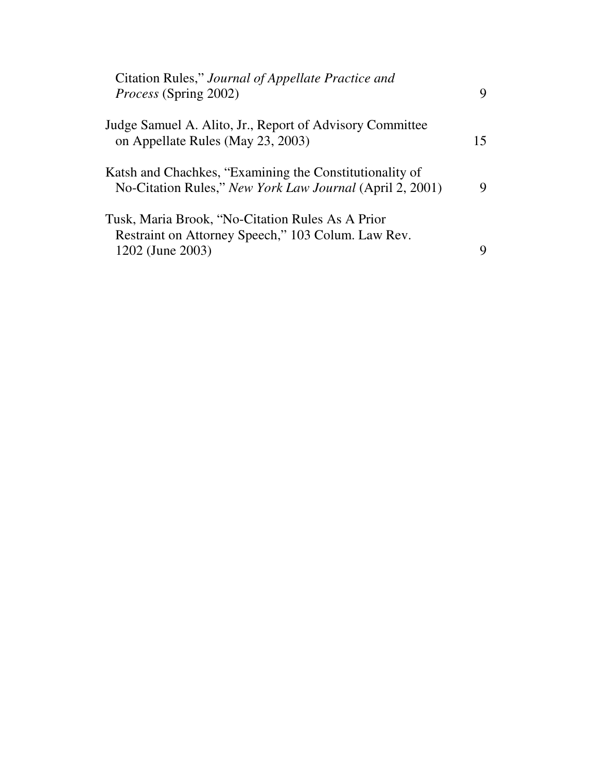| Citation Rules," Journal of Appellate Practice and<br><i>Process</i> (Spring 2002)                                         | 9  |
|----------------------------------------------------------------------------------------------------------------------------|----|
| Judge Samuel A. Alito, Jr., Report of Advisory Committee<br>on Appellate Rules (May 23, 2003)                              | 15 |
| Katsh and Chachkes, "Examining the Constitutionality of<br>No-Citation Rules," New York Law Journal (April 2, 2001)        | 9  |
| Tusk, Maria Brook, "No-Citation Rules As A Prior<br>Restraint on Attorney Speech," 103 Colum. Law Rev.<br>1202 (June 2003) | Q  |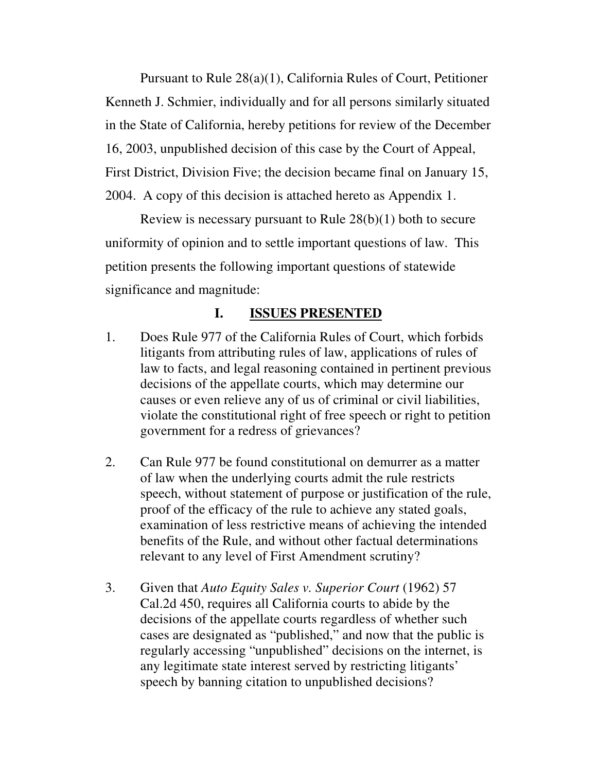Pursuant to Rule 28(a)(1), California Rules of Court, Petitioner Kenneth J. Schmier, individually and for all persons similarly situated in the State of California, hereby petitions for review of the December 16, 2003, unpublished decision of this case by the Court of Appeal, First District, Division Five; the decision became final on January 15, 2004. A copy of this decision is attached hereto as Appendix 1.

Review is necessary pursuant to Rule 28(b)(1) both to secure uniformity of opinion and to settle important questions of law. This petition presents the following important questions of statewide significance and magnitude:

### **I. ISSUES PRESENTED**

- 1. Does Rule 977 of the California Rules of Court, which forbids litigants from attributing rules of law, applications of rules of law to facts, and legal reasoning contained in pertinent previous decisions of the appellate courts, which may determine our causes or even relieve any of us of criminal or civil liabilities, violate the constitutional right of free speech or right to petition government for a redress of grievances?
- 2. Can Rule 977 be found constitutional on demurrer as a matter of law when the underlying courts admit the rule restricts speech, without statement of purpose or justification of the rule, proof of the efficacy of the rule to achieve any stated goals, examination of less restrictive means of achieving the intended benefits of the Rule, and without other factual determinations relevant to any level of First Amendment scrutiny?
- 3. Given that *Auto Equity Sales v. Superior Court* (1962) 57 Cal.2d 450, requires all California courts to abide by the decisions of the appellate courts regardless of whether such cases are designated as "published," and now that the public is regularly accessing "unpublished" decisions on the internet, is any legitimate state interest served by restricting litigants' speech by banning citation to unpublished decisions?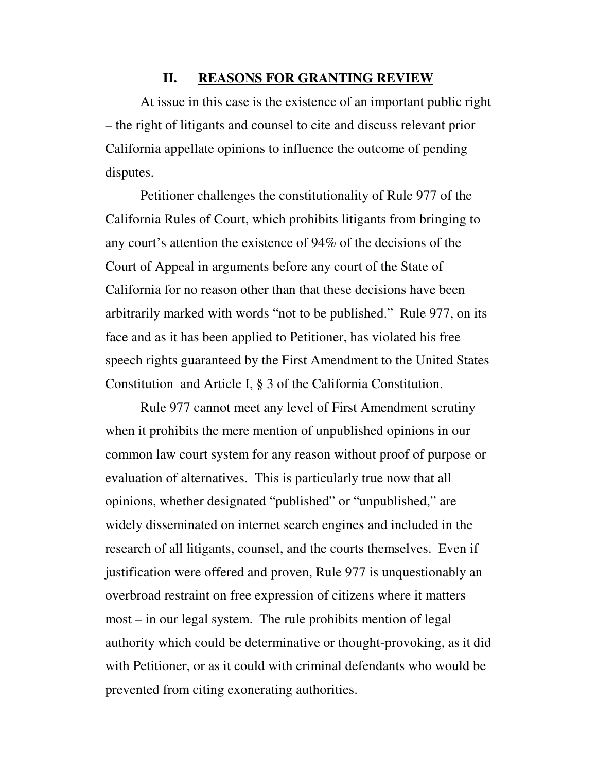#### **II. REASONS FOR GRANTING REVIEW**

At issue in this case is the existence of an important public right – the right of litigants and counsel to cite and discuss relevant prior California appellate opinions to influence the outcome of pending disputes.

Petitioner challenges the constitutionality of Rule 977 of the California Rules of Court, which prohibits litigants from bringing to any court's attention the existence of 94% of the decisions of the Court of Appeal in arguments before any court of the State of California for no reason other than that these decisions have been arbitrarily marked with words "not to be published." Rule 977, on its face and as it has been applied to Petitioner, has violated his free speech rights guaranteed by the First Amendment to the United States Constitution and Article I, § 3 of the California Constitution.

Rule 977 cannot meet any level of First Amendment scrutiny when it prohibits the mere mention of unpublished opinions in our common law court system for any reason without proof of purpose or evaluation of alternatives. This is particularly true now that all opinions, whether designated "published" or "unpublished," are widely disseminated on internet search engines and included in the research of all litigants, counsel, and the courts themselves. Even if justification were offered and proven, Rule 977 is unquestionably an overbroad restraint on free expression of citizens where it matters most – in our legal system. The rule prohibits mention of legal authority which could be determinative or thought-provoking, as it did with Petitioner, or as it could with criminal defendants who would be prevented from citing exonerating authorities.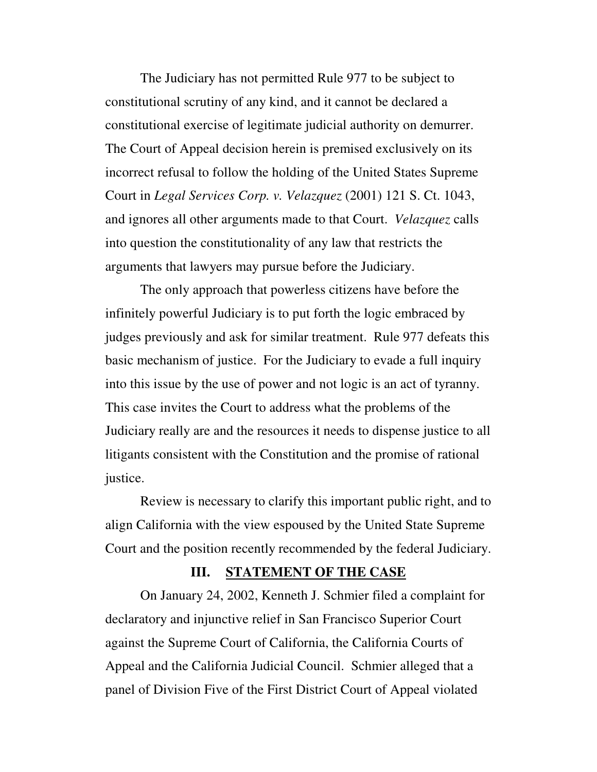The Judiciary has not permitted Rule 977 to be subject to constitutional scrutiny of any kind, and it cannot be declared a constitutional exercise of legitimate judicial authority on demurrer. The Court of Appeal decision herein is premised exclusively on its incorrect refusal to follow the holding of the United States Supreme Court in *Legal Services Corp. v. Velazquez* (2001) 121 S. Ct. 1043, and ignores all other arguments made to that Court. *Velazquez* calls into question the constitutionality of any law that restricts the arguments that lawyers may pursue before the Judiciary.

The only approach that powerless citizens have before the infinitely powerful Judiciary is to put forth the logic embraced by judges previously and ask for similar treatment. Rule 977 defeats this basic mechanism of justice. For the Judiciary to evade a full inquiry into this issue by the use of power and not logic is an act of tyranny. This case invites the Court to address what the problems of the Judiciary really are and the resources it needs to dispense justice to all litigants consistent with the Constitution and the promise of rational justice.

Review is necessary to clarify this important public right, and to align California with the view espoused by the United State Supreme Court and the position recently recommended by the federal Judiciary.

#### **III. STATEMENT OF THE CASE**

On January 24, 2002, Kenneth J. Schmier filed a complaint for declaratory and injunctive relief in San Francisco Superior Court against the Supreme Court of California, the California Courts of Appeal and the California Judicial Council. Schmier alleged that a panel of Division Five of the First District Court of Appeal violated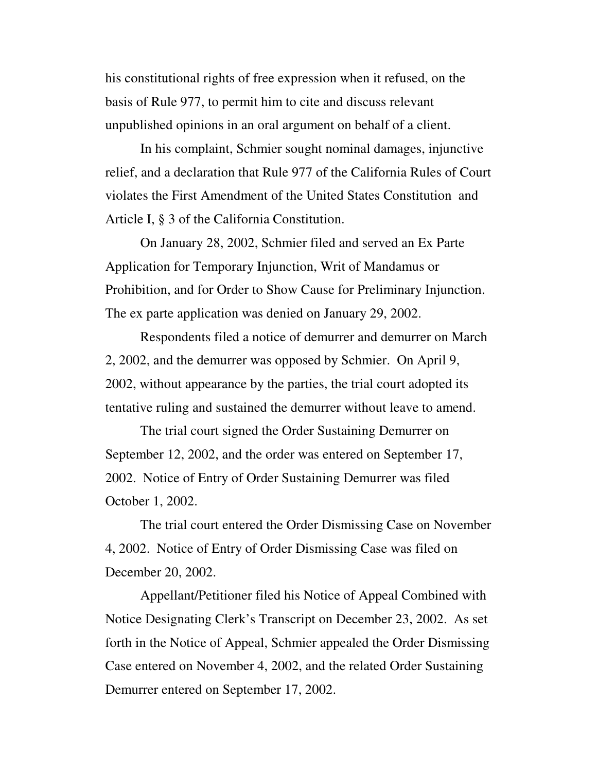his constitutional rights of free expression when it refused, on the basis of Rule 977, to permit him to cite and discuss relevant unpublished opinions in an oral argument on behalf of a client.

In his complaint, Schmier sought nominal damages, injunctive relief, and a declaration that Rule 977 of the California Rules of Court violates the First Amendment of the United States Constitution and Article I, § 3 of the California Constitution.

On January 28, 2002, Schmier filed and served an Ex Parte Application for Temporary Injunction, Writ of Mandamus or Prohibition, and for Order to Show Cause for Preliminary Injunction. The ex parte application was denied on January 29, 2002.

Respondents filed a notice of demurrer and demurrer on March 2, 2002, and the demurrer was opposed by Schmier. On April 9, 2002, without appearance by the parties, the trial court adopted its tentative ruling and sustained the demurrer without leave to amend.

The trial court signed the Order Sustaining Demurrer on September 12, 2002, and the order was entered on September 17, 2002. Notice of Entry of Order Sustaining Demurrer was filed October 1, 2002.

The trial court entered the Order Dismissing Case on November 4, 2002. Notice of Entry of Order Dismissing Case was filed on December 20, 2002.

Appellant/Petitioner filed his Notice of Appeal Combined with Notice Designating Clerk's Transcript on December 23, 2002. As set forth in the Notice of Appeal, Schmier appealed the Order Dismissing Case entered on November 4, 2002, and the related Order Sustaining Demurrer entered on September 17, 2002.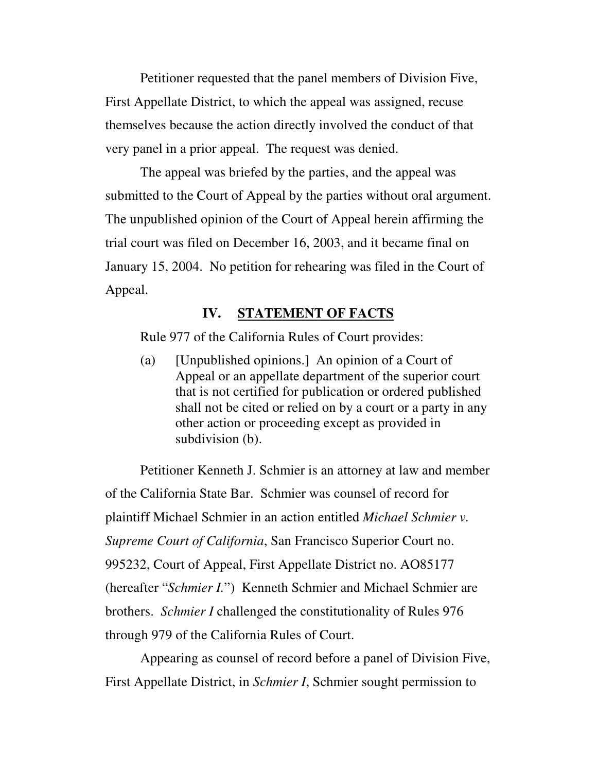Petitioner requested that the panel members of Division Five, First Appellate District, to which the appeal was assigned, recuse themselves because the action directly involved the conduct of that very panel in a prior appeal. The request was denied.

The appeal was briefed by the parties, and the appeal was submitted to the Court of Appeal by the parties without oral argument. The unpublished opinion of the Court of Appeal herein affirming the trial court was filed on December 16, 2003, and it became final on January 15, 2004. No petition for rehearing was filed in the Court of Appeal.

### **IV. STATEMENT OF FACTS**

Rule 977 of the California Rules of Court provides:

(a) [Unpublished opinions.] An opinion of a Court of Appeal or an appellate department of the superior court that is not certified for publication or ordered published shall not be cited or relied on by a court or a party in any other action or proceeding except as provided in subdivision (b).

Petitioner Kenneth J. Schmier is an attorney at law and member of the California State Bar. Schmier was counsel of record for plaintiff Michael Schmier in an action entitled *Michael Schmier v. Supreme Court of California*, San Francisco Superior Court no. 995232, Court of Appeal, First Appellate District no. AO85177 (hereafter "*Schmier I.*") Kenneth Schmier and Michael Schmier are brothers. *Schmier I* challenged the constitutionality of Rules 976 through 979 of the California Rules of Court.

Appearing as counsel of record before a panel of Division Five, First Appellate District, in *Schmier I*, Schmier sought permission to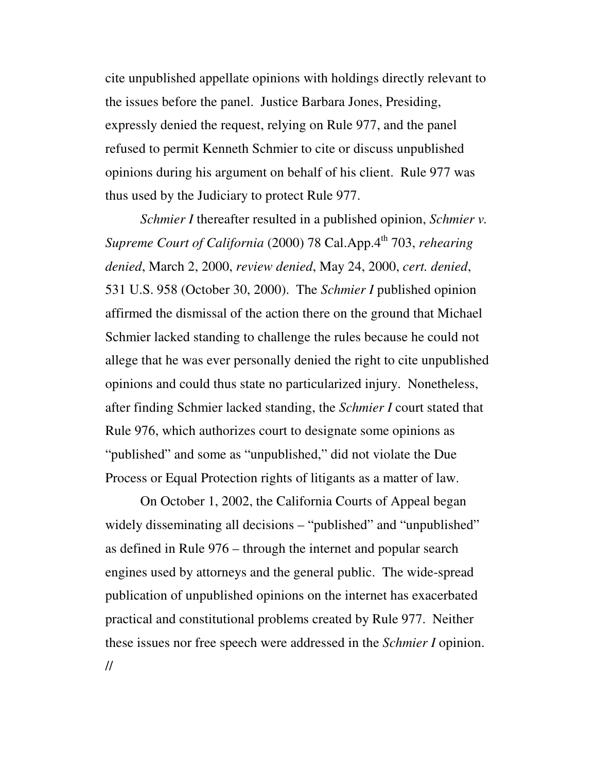cite unpublished appellate opinions with holdings directly relevant to the issues before the panel. Justice Barbara Jones, Presiding, expressly denied the request, relying on Rule 977, and the panel refused to permit Kenneth Schmier to cite or discuss unpublished opinions during his argument on behalf of his client. Rule 977 was thus used by the Judiciary to protect Rule 977.

*Schmier I* thereafter resulted in a published opinion, *Schmier v. Supreme Court of California* (2000) 78 Cal.App.4 th 703, *rehearing denied*, March 2, 2000, *review denied*, May 24, 2000, *cert. denied*, 531 U.S. 958 (October 30, 2000). The *Schmier I* published opinion affirmed the dismissal of the action there on the ground that Michael Schmier lacked standing to challenge the rules because he could not allege that he was ever personally denied the right to cite unpublished opinions and could thus state no particularized injury. Nonetheless, after finding Schmier lacked standing, the *Schmier I* court stated that Rule 976, which authorizes court to designate some opinions as "published" and some as "unpublished," did not violate the Due Process or Equal Protection rights of litigants as a matter of law.

On October 1, 2002, the California Courts of Appeal began widely disseminating all decisions – "published" and "unpublished" as defined in Rule 976 – through the internet and popular search engines used by attorneys and the general public. The wide-spread publication of unpublished opinions on the internet has exacerbated practical and constitutional problems created by Rule 977. Neither these issues nor free speech were addressed in the *Schmier I* opinion. //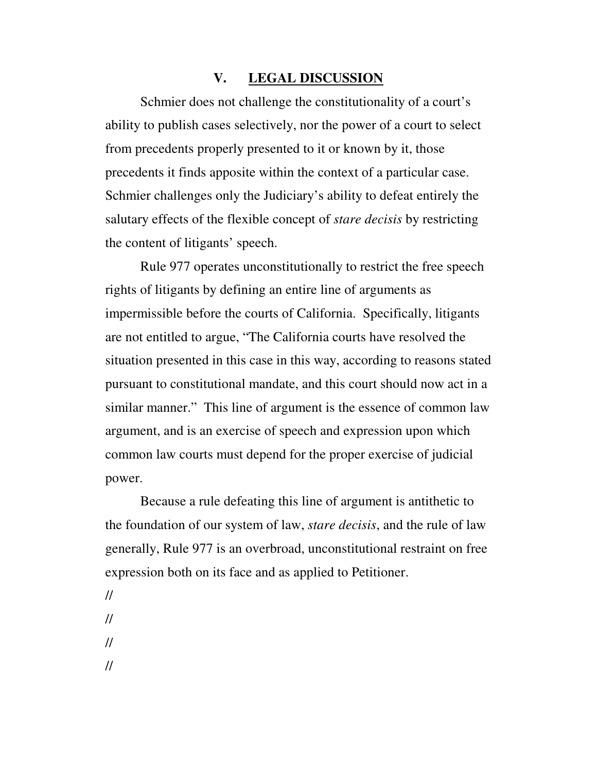### **V. LEGAL DISCUSSION**

Schmier does not challenge the constitutionality of a court's ability to publish cases selectively, nor the power of a court to select from precedents properly presented to it or known by it, those precedents it finds apposite within the context of a particular case. Schmier challenges only the Judiciary's ability to defeat entirely the salutary effects of the flexible concept of *stare decisis* by restricting the content of litigants' speech.

Rule 977 operates unconstitutionally to restrict the free speech rights of litigants by defining an entire line of arguments as impermissible before the courts of California. Specifically, litigants are not entitled to argue, "The California courts have resolved the situation presented in this case in this way, according to reasons stated pursuant to constitutional mandate, and this court should now act in a similar manner." This line of argument is the essence of common law argument, and is an exercise of speech and expression upon which common law courts must depend for the proper exercise of judicial power.

Because a rule defeating this line of argument is antithetic to the foundation of our system of law, *stare decisis*, and the rule of law generally, Rule 977 is an overbroad, unconstitutional restraint on free expression both on its face and as applied to Petitioner.

- // // //
- //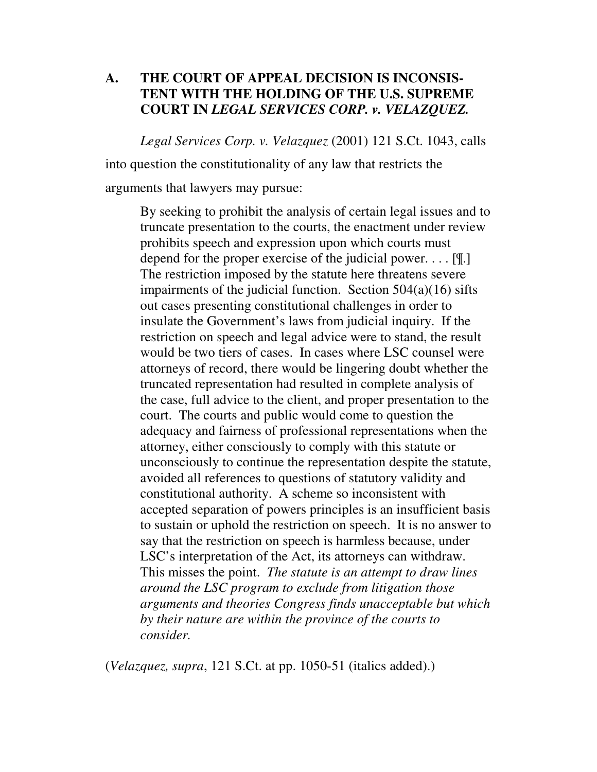### **A. THE COURT OF APPEAL DECISION IS INCONSIS-TENT WITH THE HOLDING OF THE U.S. SUPREME COURT IN** *LEGAL SERVICES CORP. v. VELAZQUEZ.*

*Legal Services Corp. v. Velazquez* (2001) 121 S.Ct. 1043, calls

into question the constitutionality of any law that restricts the

arguments that lawyers may pursue:

By seeking to prohibit the analysis of certain legal issues and to truncate presentation to the courts, the enactment under review prohibits speech and expression upon which courts must depend for the proper exercise of the judicial power. . . . [¶.] The restriction imposed by the statute here threatens severe impairments of the judicial function. Section  $504(a)(16)$  sifts out cases presenting constitutional challenges in order to insulate the Government's laws from judicial inquiry. If the restriction on speech and legal advice were to stand, the result would be two tiers of cases. In cases where LSC counsel were attorneys of record, there would be lingering doubt whether the truncated representation had resulted in complete analysis of the case, full advice to the client, and proper presentation to the court. The courts and public would come to question the adequacy and fairness of professional representations when the attorney, either consciously to comply with this statute or unconsciously to continue the representation despite the statute, avoided all references to questions of statutory validity and constitutional authority. A scheme so inconsistent with accepted separation of powers principles is an insufficient basis to sustain or uphold the restriction on speech. It is no answer to say that the restriction on speech is harmless because, under LSC's interpretation of the Act, its attorneys can withdraw. This misses the point. *The statute is an attempt to draw lines around the LSC program to exclude from litigation those arguments and theories Congress finds unacceptable but which by their nature are within the province of the courts to consider.*

(*Velazquez, supra*, 121 S.Ct. at pp. 1050-51 (italics added).)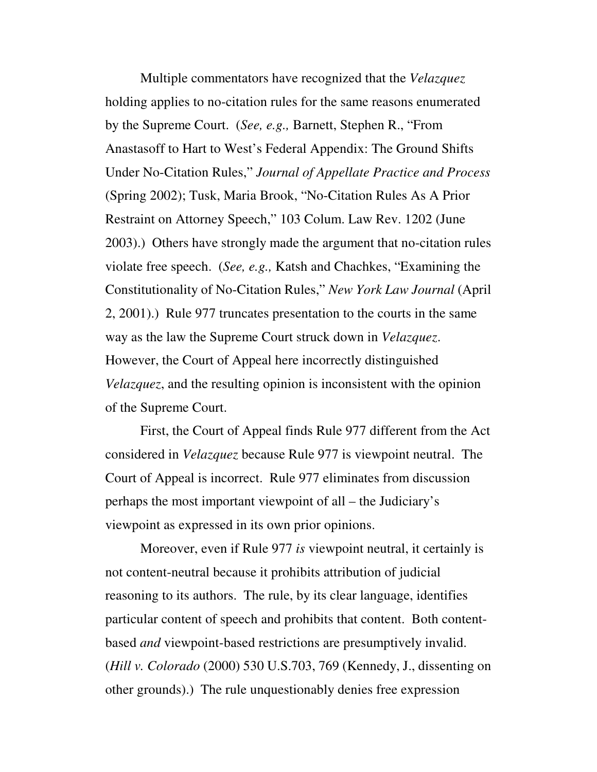Multiple commentators have recognized that the *Velazquez* holding applies to no-citation rules for the same reasons enumerated by the Supreme Court. (*See, e.g.,* Barnett, Stephen R., "From Anastasoff to Hart to West's Federal Appendix: The Ground Shifts Under No-Citation Rules," *Journal of Appellate Practice and Process* (Spring 2002); Tusk, Maria Brook, "No-Citation Rules As A Prior Restraint on Attorney Speech," 103 Colum. Law Rev. 1202 (June 2003).) Others have strongly made the argument that no-citation rules violate free speech. (*See, e.g.,* Katsh and Chachkes, "Examining the Constitutionality of No-Citation Rules," *New York Law Journal* (April 2, 2001).) Rule 977 truncates presentation to the courts in the same way as the law the Supreme Court struck down in *Velazquez*. However, the Court of Appeal here incorrectly distinguished *Velazquez*, and the resulting opinion is inconsistent with the opinion of the Supreme Court.

First, the Court of Appeal finds Rule 977 different from the Act considered in *Velazquez* because Rule 977 is viewpoint neutral. The Court of Appeal is incorrect. Rule 977 eliminates from discussion perhaps the most important viewpoint of all – the Judiciary's viewpoint as expressed in its own prior opinions.

Moreover, even if Rule 977 *is* viewpoint neutral, it certainly is not content-neutral because it prohibits attribution of judicial reasoning to its authors. The rule, by its clear language, identifies particular content of speech and prohibits that content. Both contentbased *and* viewpoint-based restrictions are presumptively invalid. (*Hill v. Colorado* (2000) 530 U.S.703, 769 (Kennedy, J., dissenting on other grounds).) The rule unquestionably denies free expression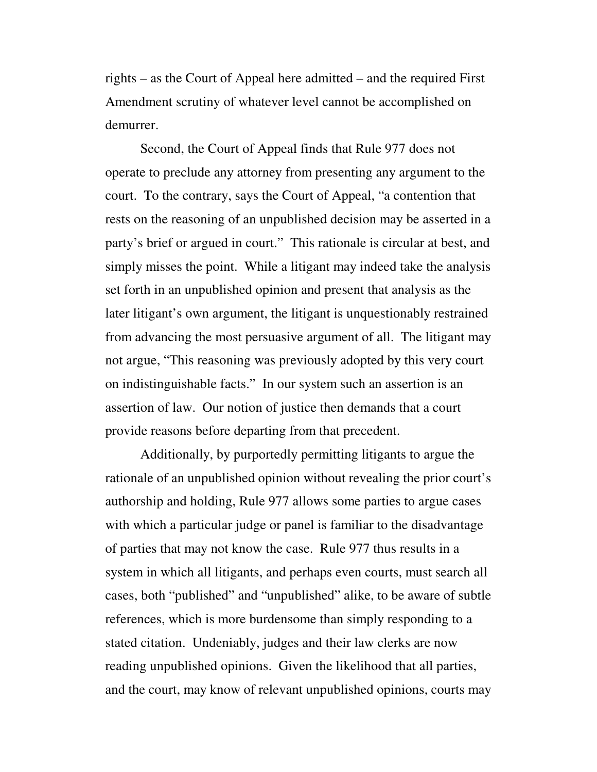rights – as the Court of Appeal here admitted – and the required First Amendment scrutiny of whatever level cannot be accomplished on demurrer.

Second, the Court of Appeal finds that Rule 977 does not operate to preclude any attorney from presenting any argument to the court. To the contrary, says the Court of Appeal, "a contention that rests on the reasoning of an unpublished decision may be asserted in a party's brief or argued in court." This rationale is circular at best, and simply misses the point. While a litigant may indeed take the analysis set forth in an unpublished opinion and present that analysis as the later litigant's own argument, the litigant is unquestionably restrained from advancing the most persuasive argument of all. The litigant may not argue, "This reasoning was previously adopted by this very court on indistinguishable facts." In our system such an assertion is an assertion of law. Our notion of justice then demands that a court provide reasons before departing from that precedent.

Additionally, by purportedly permitting litigants to argue the rationale of an unpublished opinion without revealing the prior court's authorship and holding, Rule 977 allows some parties to argue cases with which a particular judge or panel is familiar to the disadvantage of parties that may not know the case. Rule 977 thus results in a system in which all litigants, and perhaps even courts, must search all cases, both "published" and "unpublished" alike, to be aware of subtle references, which is more burdensome than simply responding to a stated citation. Undeniably, judges and their law clerks are now reading unpublished opinions. Given the likelihood that all parties, and the court, may know of relevant unpublished opinions, courts may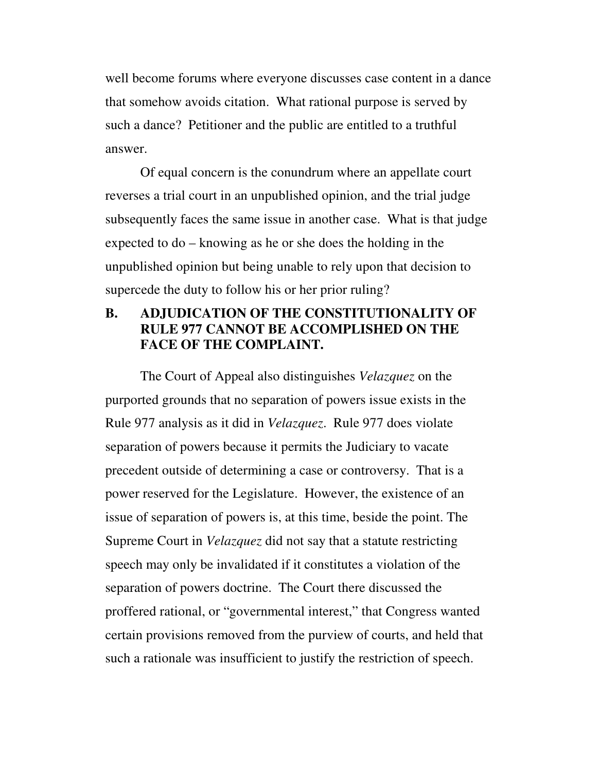well become forums where everyone discusses case content in a dance that somehow avoids citation. What rational purpose is served by such a dance? Petitioner and the public are entitled to a truthful answer.

Of equal concern is the conundrum where an appellate court reverses a trial court in an unpublished opinion, and the trial judge subsequently faces the same issue in another case. What is that judge expected to do – knowing as he or she does the holding in the unpublished opinion but being unable to rely upon that decision to supercede the duty to follow his or her prior ruling?

### **B. ADJUDICATION OF THE CONSTITUTIONALITY OF RULE 977 CANNOT BE ACCOMPLISHED ON THE FACE OF THE COMPLAINT.**

The Court of Appeal also distinguishes *Velazquez* on the purported grounds that no separation of powers issue exists in the Rule 977 analysis as it did in *Velazquez*. Rule 977 does violate separation of powers because it permits the Judiciary to vacate precedent outside of determining a case or controversy. That is a power reserved for the Legislature. However, the existence of an issue of separation of powers is, at this time, beside the point. The Supreme Court in *Velazquez* did not say that a statute restricting speech may only be invalidated if it constitutes a violation of the separation of powers doctrine. The Court there discussed the proffered rational, or "governmental interest," that Congress wanted certain provisions removed from the purview of courts, and held that such a rationale was insufficient to justify the restriction of speech.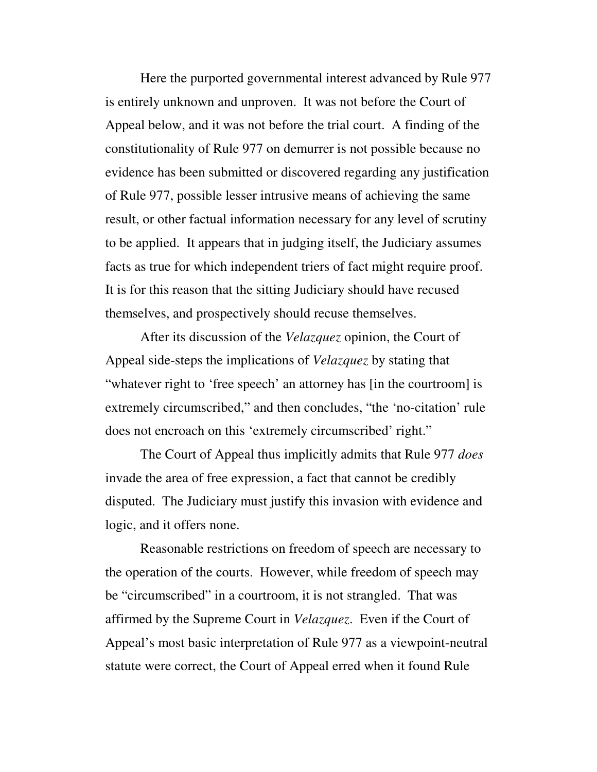Here the purported governmental interest advanced by Rule 977 is entirely unknown and unproven. It was not before the Court of Appeal below, and it was not before the trial court. A finding of the constitutionality of Rule 977 on demurrer is not possible because no evidence has been submitted or discovered regarding any justification of Rule 977, possible lesser intrusive means of achieving the same result, or other factual information necessary for any level of scrutiny to be applied. It appears that in judging itself, the Judiciary assumes facts as true for which independent triers of fact might require proof. It is for this reason that the sitting Judiciary should have recused themselves, and prospectively should recuse themselves.

After its discussion of the *Velazquez* opinion, the Court of Appeal side-steps the implications of *Velazquez* by stating that "whatever right to 'free speech' an attorney has [in the courtroom] is extremely circumscribed," and then concludes, "the 'no-citation' rule does not encroach on this 'extremely circumscribed' right."

The Court of Appeal thus implicitly admits that Rule 977 *does* invade the area of free expression, a fact that cannot be credibly disputed. The Judiciary must justify this invasion with evidence and logic, and it offers none.

Reasonable restrictions on freedom of speech are necessary to the operation of the courts. However, while freedom of speech may be "circumscribed" in a courtroom, it is not strangled. That was affirmed by the Supreme Court in *Velazquez*. Even if the Court of Appeal's most basic interpretation of Rule 977 as a viewpoint-neutral statute were correct, the Court of Appeal erred when it found Rule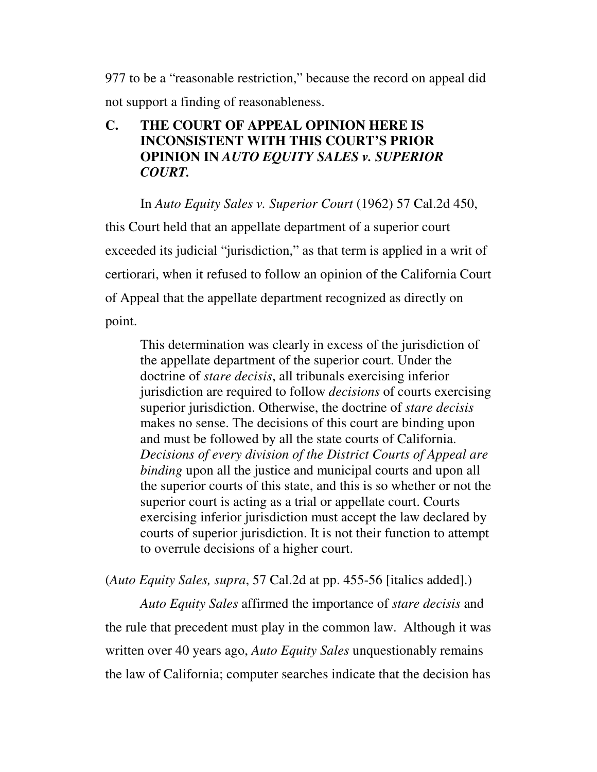977 to be a "reasonable restriction," because the record on appeal did not support a finding of reasonableness.

### **C. THE COURT OF APPEAL OPINION HERE IS INCONSISTENT WITH THIS COURT'S PRIOR OPINION IN** *AUTO EQUITY SALES v. SUPERIOR COURT.*

In *Auto Equity Sales v. Superior Court* (1962) 57 Cal.2d 450,

this Court held that an appellate department of a superior court exceeded its judicial "jurisdiction," as that term is applied in a writ of certiorari, when it refused to follow an opinion of the California Court of Appeal that the appellate department recognized as directly on point.

This determination was clearly in excess of the jurisdiction of the appellate department of the superior court. Under the doctrine of *stare decisis*, all tribunals exercising inferior jurisdiction are required to follow *decisions* of courts exercising superior jurisdiction. Otherwise, the doctrine of *stare decisis* makes no sense. The decisions of this court are binding upon and must be followed by all the state courts of California. *Decisions of every division of the District Courts of Appeal are binding* upon all the justice and municipal courts and upon all the superior courts of this state, and this is so whether or not the superior court is acting as a trial or appellate court. Courts exercising inferior jurisdiction must accept the law declared by courts of superior jurisdiction. It is not their function to attempt to overrule decisions of a higher court.

(*Auto Equity Sales, supra*, 57 Cal.2d at pp. 455-56 [italics added].)

*Auto Equity Sales* affirmed the importance of *stare decisis* and the rule that precedent must play in the common law. Although it was written over 40 years ago, *Auto Equity Sales* unquestionably remains the law of California; computer searches indicate that the decision has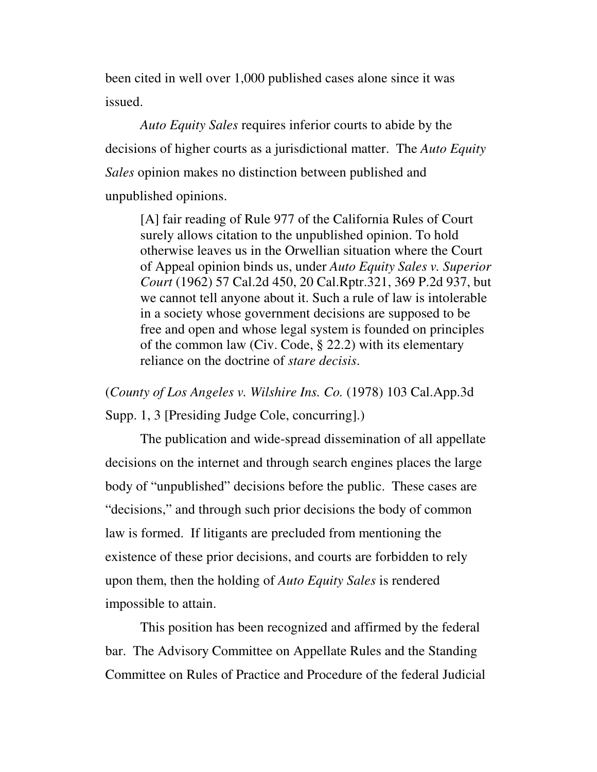been cited in well over 1,000 published cases alone since it was issued.

*Auto Equity Sales* requires inferior courts to abide by the decisions of higher courts as a jurisdictional matter. The *Auto Equity Sales* opinion makes no distinction between published and unpublished opinions.

[A] fair reading of Rule 977 of the California Rules of Court surely allows citation to the unpublished opinion. To hold otherwise leaves us in the Orwellian situation where the Court of Appeal opinion binds us, under *Auto Equity Sales v. Superior Court* (1962) 57 Cal.2d 450, 20 Cal.Rptr.321, 369 P.2d 937, but we cannot tell anyone about it. Such a rule of law is intolerable in a society whose government decisions are supposed to be free and open and whose legal system is founded on principles of the common law (Civ. Code, § 22.2) with its elementary reliance on the doctrine of *stare decisis*.

(*County of Los Angeles v. Wilshire Ins. Co.* (1978) 103 Cal.App.3d

Supp. 1, 3 [Presiding Judge Cole, concurring].)

The publication and wide-spread dissemination of all appellate decisions on the internet and through search engines places the large body of "unpublished" decisions before the public. These cases are "decisions," and through such prior decisions the body of common law is formed. If litigants are precluded from mentioning the existence of these prior decisions, and courts are forbidden to rely upon them, then the holding of *Auto Equity Sales* is rendered impossible to attain.

This position has been recognized and affirmed by the federal bar. The Advisory Committee on Appellate Rules and the Standing Committee on Rules of Practice and Procedure of the federal Judicial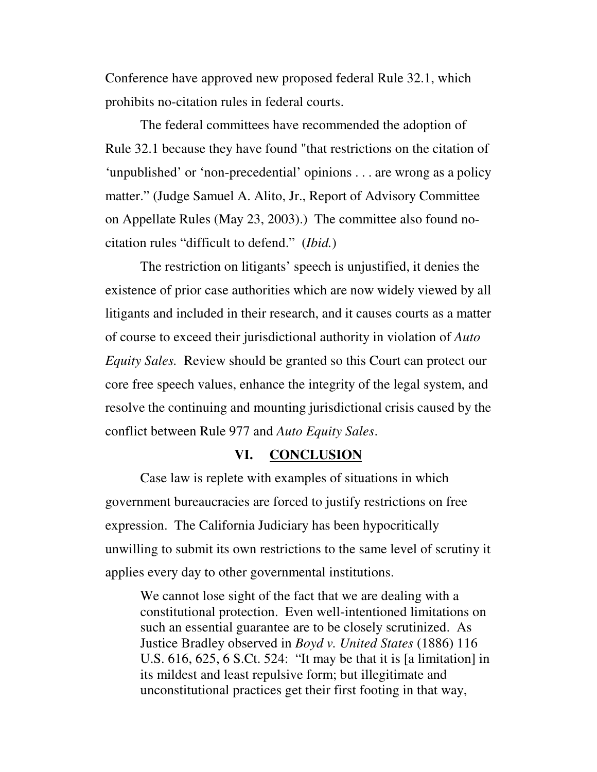Conference have approved new proposed federal Rule 32.1, which prohibits no-citation rules in federal courts.

The federal committees have recommended the adoption of Rule 32.1 because they have found "that restrictions on the citation of 'unpublished' or 'non-precedential' opinions . . . are wrong as a policy matter." (Judge Samuel A. Alito, Jr., Report of Advisory Committee on Appellate Rules (May 23, 2003).) The committee also found nocitation rules "difficult to defend." (*Ibid.*)

The restriction on litigants' speech is unjustified, it denies the existence of prior case authorities which are now widely viewed by all litigants and included in their research, and it causes courts as a matter of course to exceed their jurisdictional authority in violation of *Auto Equity Sales.* Review should be granted so this Court can protect our core free speech values, enhance the integrity of the legal system, and resolve the continuing and mounting jurisdictional crisis caused by the conflict between Rule 977 and *Auto Equity Sales*.

### **VI. CONCLUSION**

Case law is replete with examples of situations in which government bureaucracies are forced to justify restrictions on free expression. The California Judiciary has been hypocritically unwilling to submit its own restrictions to the same level of scrutiny it applies every day to other governmental institutions.

We cannot lose sight of the fact that we are dealing with a constitutional protection. Even well-intentioned limitations on such an essential guarantee are to be closely scrutinized. As Justice Bradley observed in *Boyd v. United States* (1886) 116 U.S. 616, 625, 6 S.Ct. 524: "It may be that it is [a limitation] in its mildest and least repulsive form; but illegitimate and unconstitutional practices get their first footing in that way,